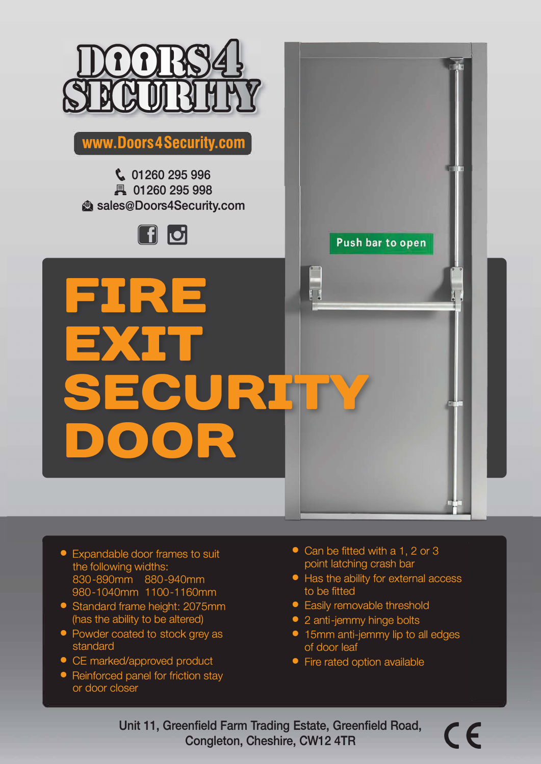

**www.Doors4Security.com** 

**� 01260 295 996 H 01260 295 998 is sales@Doors4Security.com** 



- Expandable door frames to suit the following widths: 830-890mm 880-940mm 980-1040mm 1100-1160mm
- Standard frame height: 2075mm (has the ability to be altered)
- Powder coated to stock grey as standard
- CE marked/approved product
- Reinforced panel for friction stay or door closer
- Can be fitted with a 1, 2 or 3 point latching crash bar
- Has the ability for external access to be fitted

**Push bar to open** 

- Easily removable threshold
- 2 anti-jemmy hinge bolts
- 15mm anti-jemmy lip to all edges of door leaf
- Fire rated option available

Unit 11, Greenfield Farm Trading Estate, Greenfield Road, Congleton, Cheshire, CW12 4TR